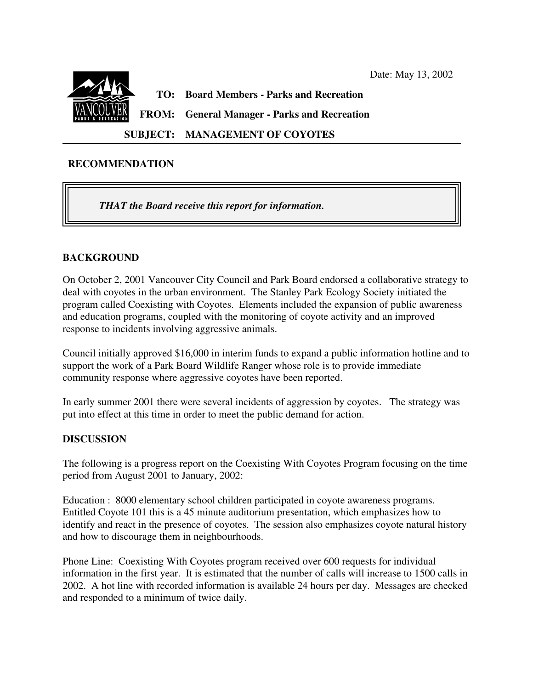

**SUBJECT: MANAGEMENT OF COYOTES**

## **RECOMMENDATION**

*THAT the Board receive this report for information.*

# **BACKGROUND**

On October 2, 2001 Vancouver City Council and Park Board endorsed a collaborative strategy to deal with coyotes in the urban environment. The Stanley Park Ecology Society initiated the program called Coexisting with Coyotes. Elements included the expansion of public awareness and education programs, coupled with the monitoring of coyote activity and an improved response to incidents involving aggressive animals.

Council initially approved \$16,000 in interim funds to expand a public information hotline and to support the work of a Park Board Wildlife Ranger whose role is to provide immediate community response where aggressive coyotes have been reported.

In early summer 2001 there were several incidents of aggression by coyotes. The strategy was put into effect at this time in order to meet the public demand for action.

## **DISCUSSION**

The following is a progress report on the Coexisting With Coyotes Program focusing on the time period from August 2001 to January, 2002:

Education : 8000 elementary school children participated in coyote awareness programs. Entitled Coyote 101 this is a 45 minute auditorium presentation, which emphasizes how to identify and react in the presence of coyotes. The session also emphasizes coyote natural history and how to discourage them in neighbourhoods.

Phone Line: Coexisting With Coyotes program received over 600 requests for individual information in the first year. It is estimated that the number of calls will increase to 1500 calls in 2002. A hot line with recorded information is available 24 hours per day. Messages are checked and responded to a minimum of twice daily.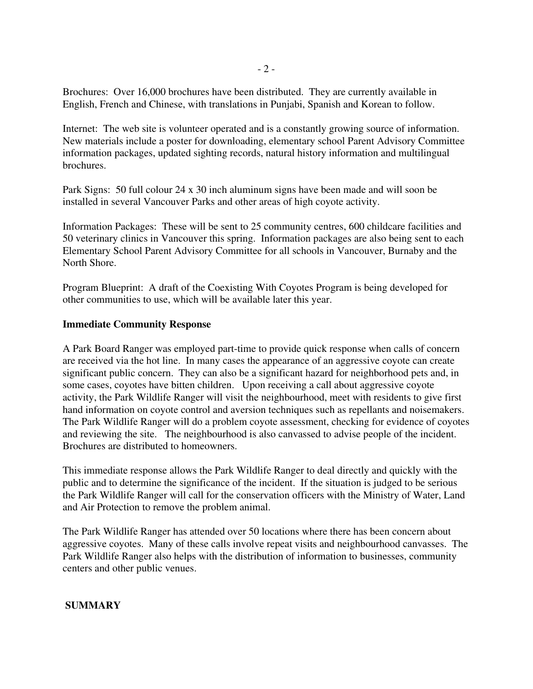Brochures: Over 16,000 brochures have been distributed. They are currently available in English, French and Chinese, with translations in Punjabi, Spanish and Korean to follow.

Internet: The web site is volunteer operated and is a constantly growing source of information. New materials include a poster for downloading, elementary school Parent Advisory Committee information packages, updated sighting records, natural history information and multilingual brochures.

Park Signs: 50 full colour 24 x 30 inch aluminum signs have been made and will soon be installed in several Vancouver Parks and other areas of high coyote activity.

Information Packages: These will be sent to 25 community centres, 600 childcare facilities and 50 veterinary clinics in Vancouver this spring. Information packages are also being sent to each Elementary School Parent Advisory Committee for all schools in Vancouver, Burnaby and the North Shore.

Program Blueprint: A draft of the Coexisting With Coyotes Program is being developed for other communities to use, which will be available later this year.

## **Immediate Community Response**

A Park Board Ranger was employed part-time to provide quick response when calls of concern are received via the hot line. In many cases the appearance of an aggressive coyote can create significant public concern. They can also be a significant hazard for neighborhood pets and, in some cases, coyotes have bitten children. Upon receiving a call about aggressive coyote activity, the Park Wildlife Ranger will visit the neighbourhood, meet with residents to give first hand information on coyote control and aversion techniques such as repellants and noisemakers. The Park Wildlife Ranger will do a problem coyote assessment, checking for evidence of coyotes and reviewing the site. The neighbourhood is also canvassed to advise people of the incident. Brochures are distributed to homeowners.

This immediate response allows the Park Wildlife Ranger to deal directly and quickly with the public and to determine the significance of the incident. If the situation is judged to be serious the Park Wildlife Ranger will call for the conservation officers with the Ministry of Water, Land and Air Protection to remove the problem animal.

The Park Wildlife Ranger has attended over 50 locations where there has been concern about aggressive coyotes. Many of these calls involve repeat visits and neighbourhood canvasses. The Park Wildlife Ranger also helps with the distribution of information to businesses, community centers and other public venues.

## **SUMMARY**